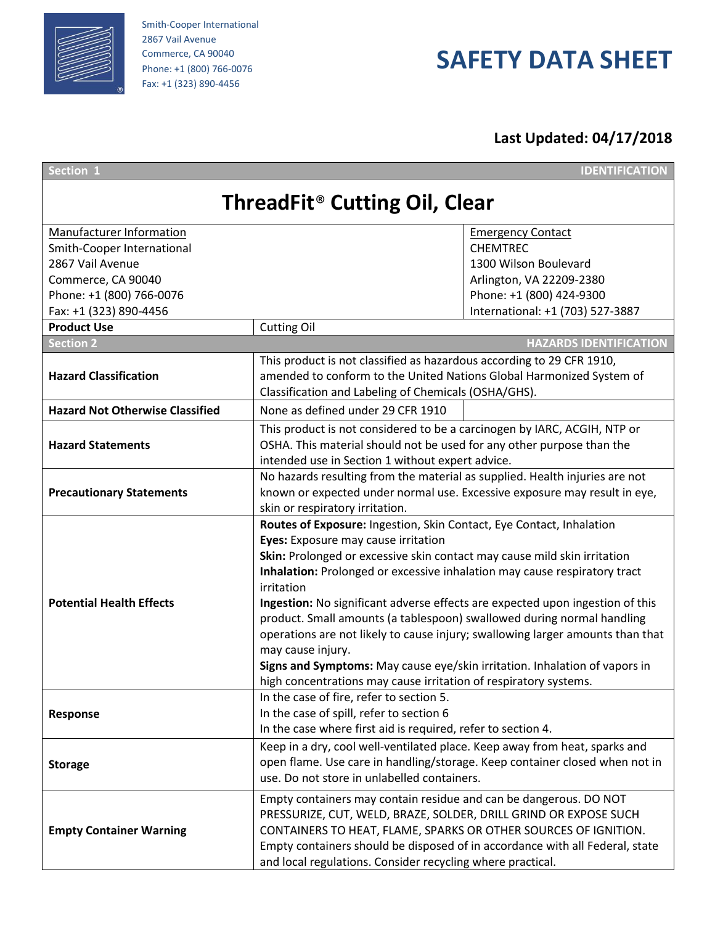

Smith-Cooper International 2867 Vail Avenue Commerce, CA 90040 Phone: +1 (800) 766-0076 Fax: +1 (323) 890-4456

## **SAFETY DATA SHEET**

**Last Updated: 04/17/2018**

| Section 1                                       |                                                                                | <b>IDENTIFICATION</b>            |  |  |
|-------------------------------------------------|--------------------------------------------------------------------------------|----------------------------------|--|--|
| <b>ThreadFit<sup>®</sup> Cutting Oil, Clear</b> |                                                                                |                                  |  |  |
| Manufacturer Information                        |                                                                                | <b>Emergency Contact</b>         |  |  |
| Smith-Cooper International                      |                                                                                | <b>CHEMTREC</b>                  |  |  |
| 2867 Vail Avenue                                |                                                                                | 1300 Wilson Boulevard            |  |  |
| Commerce, CA 90040                              |                                                                                | Arlington, VA 22209-2380         |  |  |
| Phone: +1 (800) 766-0076                        |                                                                                | Phone: +1 (800) 424-9300         |  |  |
| Fax: +1 (323) 890-4456                          |                                                                                | International: +1 (703) 527-3887 |  |  |
| <b>Product Use</b>                              | <b>Cutting Oil</b>                                                             |                                  |  |  |
| <b>Section 2</b>                                |                                                                                | <b>HAZARDS IDENTIFICATION</b>    |  |  |
|                                                 | This product is not classified as hazardous according to 29 CFR 1910,          |                                  |  |  |
| <b>Hazard Classification</b>                    | amended to conform to the United Nations Global Harmonized System of           |                                  |  |  |
|                                                 | Classification and Labeling of Chemicals (OSHA/GHS).                           |                                  |  |  |
| <b>Hazard Not Otherwise Classified</b>          | None as defined under 29 CFR 1910                                              |                                  |  |  |
|                                                 |                                                                                |                                  |  |  |
|                                                 | This product is not considered to be a carcinogen by IARC, ACGIH, NTP or       |                                  |  |  |
| <b>Hazard Statements</b>                        | OSHA. This material should not be used for any other purpose than the          |                                  |  |  |
|                                                 | intended use in Section 1 without expert advice.                               |                                  |  |  |
|                                                 | No hazards resulting from the material as supplied. Health injuries are not    |                                  |  |  |
| <b>Precautionary Statements</b>                 | known or expected under normal use. Excessive exposure may result in eye,      |                                  |  |  |
|                                                 | skin or respiratory irritation.                                                |                                  |  |  |
|                                                 | Routes of Exposure: Ingestion, Skin Contact, Eye Contact, Inhalation           |                                  |  |  |
|                                                 | Eyes: Exposure may cause irritation                                            |                                  |  |  |
|                                                 | Skin: Prolonged or excessive skin contact may cause mild skin irritation       |                                  |  |  |
|                                                 | Inhalation: Prolonged or excessive inhalation may cause respiratory tract      |                                  |  |  |
|                                                 | irritation                                                                     |                                  |  |  |
| <b>Potential Health Effects</b>                 | Ingestion: No significant adverse effects are expected upon ingestion of this  |                                  |  |  |
|                                                 | product. Small amounts (a tablespoon) swallowed during normal handling         |                                  |  |  |
|                                                 | operations are not likely to cause injury; swallowing larger amounts than that |                                  |  |  |
|                                                 | may cause injury.                                                              |                                  |  |  |
|                                                 | Signs and Symptoms: May cause eye/skin irritation. Inhalation of vapors in     |                                  |  |  |
|                                                 | high concentrations may cause irritation of respiratory systems.               |                                  |  |  |
|                                                 | In the case of fire, refer to section 5.                                       |                                  |  |  |
| Response                                        | In the case of spill, refer to section 6                                       |                                  |  |  |
|                                                 | In the case where first aid is required, refer to section 4.                   |                                  |  |  |
|                                                 | Keep in a dry, cool well-ventilated place. Keep away from heat, sparks and     |                                  |  |  |
| <b>Storage</b>                                  | open flame. Use care in handling/storage. Keep container closed when not in    |                                  |  |  |
|                                                 | use. Do not store in unlabelled containers.                                    |                                  |  |  |
|                                                 | Empty containers may contain residue and can be dangerous. DO NOT              |                                  |  |  |
|                                                 | PRESSURIZE, CUT, WELD, BRAZE, SOLDER, DRILL GRIND OR EXPOSE SUCH               |                                  |  |  |
| <b>Empty Container Warning</b>                  | CONTAINERS TO HEAT, FLAME, SPARKS OR OTHER SOURCES OF IGNITION.                |                                  |  |  |
|                                                 | Empty containers should be disposed of in accordance with all Federal, state   |                                  |  |  |
|                                                 | and local regulations. Consider recycling where practical.                     |                                  |  |  |
|                                                 |                                                                                |                                  |  |  |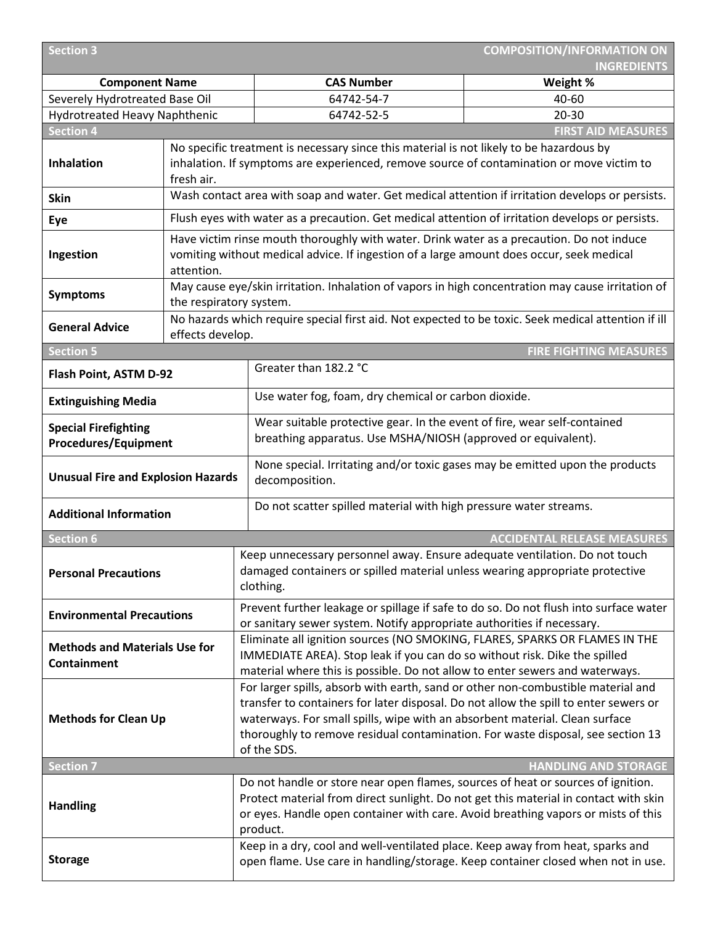| <b>Section 3</b>                                    | <b>COMPOSITION/INFORMATION ON</b>                                                                                                                                                     |                                                                                                                                                                                                                                                                           |                                                               |  |
|-----------------------------------------------------|---------------------------------------------------------------------------------------------------------------------------------------------------------------------------------------|---------------------------------------------------------------------------------------------------------------------------------------------------------------------------------------------------------------------------------------------------------------------------|---------------------------------------------------------------|--|
| <b>Component Name</b>                               |                                                                                                                                                                                       | <b>CAS Number</b>                                                                                                                                                                                                                                                         | <b>INGREDIENTS</b><br>Weight %                                |  |
| Severely Hydrotreated Base Oil                      |                                                                                                                                                                                       | 64742-54-7                                                                                                                                                                                                                                                                | 40-60                                                         |  |
| <b>Hydrotreated Heavy Naphthenic</b>                |                                                                                                                                                                                       | 64742-52-5                                                                                                                                                                                                                                                                | $20 - 30$                                                     |  |
| <b>Section 4</b>                                    |                                                                                                                                                                                       |                                                                                                                                                                                                                                                                           | <b>FIRST AID MEASURES</b>                                     |  |
|                                                     |                                                                                                                                                                                       | No specific treatment is necessary since this material is not likely to be hazardous by                                                                                                                                                                                   |                                                               |  |
| <b>Inhalation</b>                                   |                                                                                                                                                                                       | inhalation. If symptoms are experienced, remove source of contamination or move victim to                                                                                                                                                                                 |                                                               |  |
|                                                     | fresh air.                                                                                                                                                                            |                                                                                                                                                                                                                                                                           |                                                               |  |
| <b>Skin</b>                                         |                                                                                                                                                                                       | Wash contact area with soap and water. Get medical attention if irritation develops or persists.                                                                                                                                                                          |                                                               |  |
| Eye                                                 |                                                                                                                                                                                       | Flush eyes with water as a precaution. Get medical attention of irritation develops or persists.                                                                                                                                                                          |                                                               |  |
| Ingestion                                           | Have victim rinse mouth thoroughly with water. Drink water as a precaution. Do not induce<br>vomiting without medical advice. If ingestion of a large amount does occur, seek medical |                                                                                                                                                                                                                                                                           |                                                               |  |
|                                                     |                                                                                                                                                                                       | attention.                                                                                                                                                                                                                                                                |                                                               |  |
| <b>Symptoms</b>                                     | the respiratory system.                                                                                                                                                               | May cause eye/skin irritation. Inhalation of vapors in high concentration may cause irritation of                                                                                                                                                                         |                                                               |  |
|                                                     |                                                                                                                                                                                       | No hazards which require special first aid. Not expected to be toxic. Seek medical attention if ill                                                                                                                                                                       |                                                               |  |
| <b>General Advice</b>                               | effects develop.                                                                                                                                                                      |                                                                                                                                                                                                                                                                           |                                                               |  |
| <b>Section 5</b>                                    |                                                                                                                                                                                       |                                                                                                                                                                                                                                                                           | <b>FIRE FIGHTING MEASURES</b>                                 |  |
| Flash Point, ASTM D-92                              |                                                                                                                                                                                       | Greater than 182.2 °C                                                                                                                                                                                                                                                     |                                                               |  |
| <b>Extinguishing Media</b>                          |                                                                                                                                                                                       |                                                                                                                                                                                                                                                                           | Use water fog, foam, dry chemical or carbon dioxide.          |  |
| <b>Special Firefighting</b>                         |                                                                                                                                                                                       | Wear suitable protective gear. In the event of fire, wear self-contained                                                                                                                                                                                                  |                                                               |  |
| <b>Procedures/Equipment</b>                         |                                                                                                                                                                                       |                                                                                                                                                                                                                                                                           | breathing apparatus. Use MSHA/NIOSH (approved or equivalent). |  |
| <b>Unusual Fire and Explosion Hazards</b>           |                                                                                                                                                                                       | None special. Irritating and/or toxic gases may be emitted upon the products<br>decomposition.                                                                                                                                                                            |                                                               |  |
| <b>Additional Information</b>                       |                                                                                                                                                                                       | Do not scatter spilled material with high pressure water streams.                                                                                                                                                                                                         |                                                               |  |
| Section 6                                           |                                                                                                                                                                                       |                                                                                                                                                                                                                                                                           | <b>ACCIDENTAL RELEASE MEASURES</b>                            |  |
| <b>Personal Precautions</b>                         |                                                                                                                                                                                       | Keep unnecessary personnel away. Ensure adequate ventilation. Do not touch<br>damaged containers or spilled material unless wearing appropriate protective<br>clothing.                                                                                                   |                                                               |  |
| <b>Environmental Precautions</b>                    |                                                                                                                                                                                       | Prevent further leakage or spillage if safe to do so. Do not flush into surface water<br>or sanitary sewer system. Notify appropriate authorities if necessary.                                                                                                           |                                                               |  |
| <b>Methods and Materials Use for</b><br>Containment |                                                                                                                                                                                       | Eliminate all ignition sources (NO SMOKING, FLARES, SPARKS OR FLAMES IN THE<br>IMMEDIATE AREA). Stop leak if you can do so without risk. Dike the spilled                                                                                                                 |                                                               |  |
|                                                     |                                                                                                                                                                                       | material where this is possible. Do not allow to enter sewers and waterways.                                                                                                                                                                                              |                                                               |  |
|                                                     |                                                                                                                                                                                       | For larger spills, absorb with earth, sand or other non-combustible material and                                                                                                                                                                                          |                                                               |  |
| <b>Methods for Clean Up</b>                         |                                                                                                                                                                                       | transfer to containers for later disposal. Do not allow the spill to enter sewers or<br>waterways. For small spills, wipe with an absorbent material. Clean surface                                                                                                       |                                                               |  |
|                                                     |                                                                                                                                                                                       | thoroughly to remove residual contamination. For waste disposal, see section 13                                                                                                                                                                                           |                                                               |  |
|                                                     |                                                                                                                                                                                       | of the SDS.                                                                                                                                                                                                                                                               |                                                               |  |
| <b>Section 7</b>                                    |                                                                                                                                                                                       |                                                                                                                                                                                                                                                                           | <b>HANDLING AND STORAGE</b>                                   |  |
| <b>Handling</b>                                     |                                                                                                                                                                                       | Do not handle or store near open flames, sources of heat or sources of ignition.<br>Protect material from direct sunlight. Do not get this material in contact with skin<br>or eyes. Handle open container with care. Avoid breathing vapors or mists of this<br>product. |                                                               |  |
| <b>Storage</b>                                      |                                                                                                                                                                                       | Keep in a dry, cool and well-ventilated place. Keep away from heat, sparks and<br>open flame. Use care in handling/storage. Keep container closed when not in use.                                                                                                        |                                                               |  |
|                                                     |                                                                                                                                                                                       |                                                                                                                                                                                                                                                                           |                                                               |  |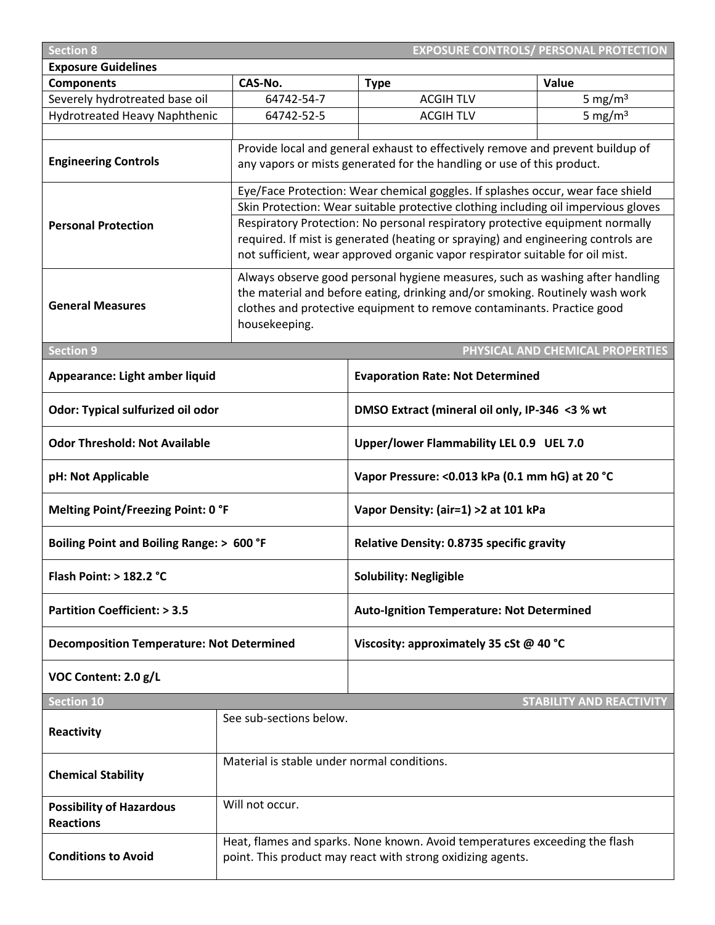| <b>EXPOSURE CONTROLS/ PERSONAL PROTECTION</b><br><b>Section 8</b>                         |                                             |                                                                                                                                                                     |                                  |  |
|-------------------------------------------------------------------------------------------|---------------------------------------------|---------------------------------------------------------------------------------------------------------------------------------------------------------------------|----------------------------------|--|
| <b>Exposure Guidelines</b>                                                                |                                             |                                                                                                                                                                     |                                  |  |
| <b>Components</b>                                                                         | CAS-No.                                     | <b>Type</b>                                                                                                                                                         | Value                            |  |
| Severely hydrotreated base oil                                                            | 64742-54-7                                  | <b>ACGIH TLV</b>                                                                                                                                                    | 5 mg/ $m3$                       |  |
| Hydrotreated Heavy Naphthenic                                                             | 64742-52-5                                  | <b>ACGIH TLV</b>                                                                                                                                                    | 5 mg/ $m3$                       |  |
|                                                                                           |                                             |                                                                                                                                                                     |                                  |  |
|                                                                                           |                                             | Provide local and general exhaust to effectively remove and prevent buildup of                                                                                      |                                  |  |
| <b>Engineering Controls</b>                                                               |                                             | any vapors or mists generated for the handling or use of this product.                                                                                              |                                  |  |
|                                                                                           |                                             |                                                                                                                                                                     |                                  |  |
|                                                                                           |                                             | Eye/Face Protection: Wear chemical goggles. If splashes occur, wear face shield                                                                                     |                                  |  |
|                                                                                           |                                             | Skin Protection: Wear suitable protective clothing including oil impervious gloves<br>Respiratory Protection: No personal respiratory protective equipment normally |                                  |  |
| <b>Personal Protection</b>                                                                |                                             | required. If mist is generated (heating or spraying) and engineering controls are                                                                                   |                                  |  |
|                                                                                           |                                             | not sufficient, wear approved organic vapor respirator suitable for oil mist.                                                                                       |                                  |  |
|                                                                                           |                                             |                                                                                                                                                                     |                                  |  |
|                                                                                           |                                             | Always observe good personal hygiene measures, such as washing after handling                                                                                       |                                  |  |
|                                                                                           |                                             | the material and before eating, drinking and/or smoking. Routinely wash work                                                                                        |                                  |  |
| <b>General Measures</b>                                                                   |                                             | clothes and protective equipment to remove contaminants. Practice good                                                                                              |                                  |  |
|                                                                                           | housekeeping.                               |                                                                                                                                                                     |                                  |  |
| <b>Section 9</b>                                                                          |                                             |                                                                                                                                                                     | PHYSICAL AND CHEMICAL PROPERTIES |  |
|                                                                                           |                                             |                                                                                                                                                                     |                                  |  |
| Appearance: Light amber liquid                                                            |                                             | <b>Evaporation Rate: Not Determined</b>                                                                                                                             |                                  |  |
| Odor: Typical sulfurized oil odor                                                         |                                             | DMSO Extract (mineral oil only, IP-346 <3 % wt                                                                                                                      |                                  |  |
|                                                                                           |                                             |                                                                                                                                                                     |                                  |  |
| <b>Odor Threshold: Not Available</b>                                                      |                                             | Upper/lower Flammability LEL 0.9 UEL 7.0                                                                                                                            |                                  |  |
| pH: Not Applicable                                                                        |                                             | Vapor Pressure: < 0.013 kPa (0.1 mm hG) at 20 °C                                                                                                                    |                                  |  |
| <b>Melting Point/Freezing Point: 0 °F</b>                                                 |                                             | Vapor Density: (air=1) > 2 at 101 kPa                                                                                                                               |                                  |  |
| Boiling Point and Boiling Range: > 600 °F                                                 |                                             | <b>Relative Density: 0.8735 specific gravity</b>                                                                                                                    |                                  |  |
| Flash Point: > 182.2 °C                                                                   |                                             | <b>Solubility: Negligible</b>                                                                                                                                       |                                  |  |
| <b>Partition Coefficient: &gt; 3.5</b>                                                    |                                             | <b>Auto-Ignition Temperature: Not Determined</b>                                                                                                                    |                                  |  |
| <b>Decomposition Temperature: Not Determined</b>                                          |                                             | Viscosity: approximately 35 cSt @ 40 °C                                                                                                                             |                                  |  |
| VOC Content: 2.0 g/L                                                                      |                                             |                                                                                                                                                                     |                                  |  |
| <b>Section 10</b>                                                                         |                                             |                                                                                                                                                                     | <b>STABILITY AND REACTIVITY</b>  |  |
|                                                                                           | See sub-sections below.                     |                                                                                                                                                                     |                                  |  |
| Reactivity                                                                                |                                             |                                                                                                                                                                     |                                  |  |
|                                                                                           |                                             |                                                                                                                                                                     |                                  |  |
| <b>Chemical Stability</b>                                                                 | Material is stable under normal conditions. |                                                                                                                                                                     |                                  |  |
| <b>Possibility of Hazardous</b>                                                           | Will not occur.                             |                                                                                                                                                                     |                                  |  |
| <b>Reactions</b>                                                                          |                                             |                                                                                                                                                                     |                                  |  |
|                                                                                           |                                             | Heat, flames and sparks. None known. Avoid temperatures exceeding the flash                                                                                         |                                  |  |
| <b>Conditions to Avoid</b><br>point. This product may react with strong oxidizing agents. |                                             |                                                                                                                                                                     |                                  |  |
|                                                                                           |                                             |                                                                                                                                                                     |                                  |  |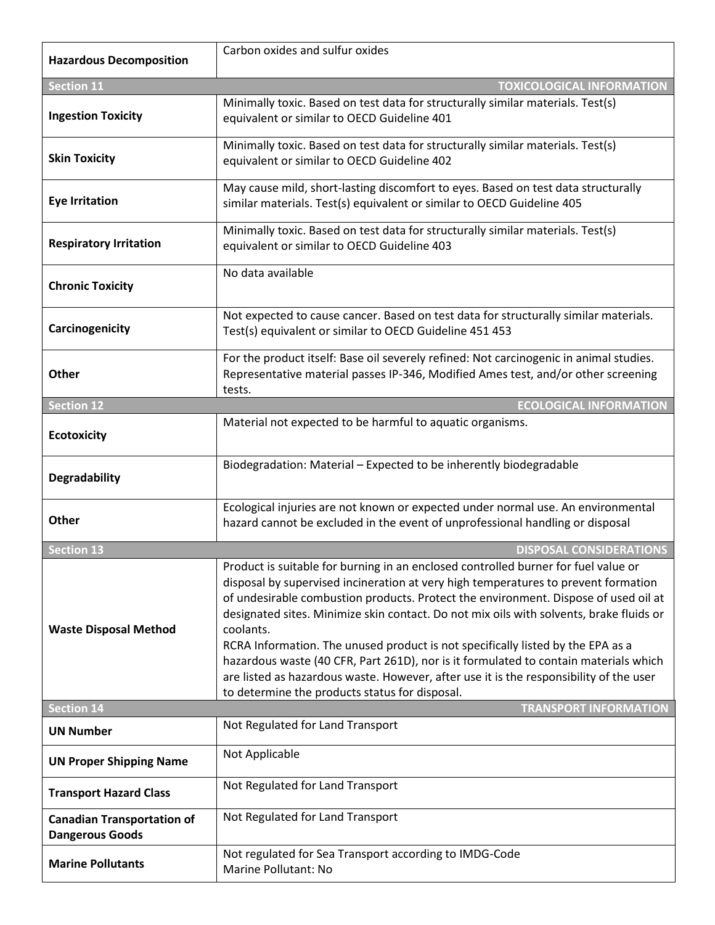| <b>Hazardous Decomposition</b>                              | Carbon oxides and sulfur oxides                                                                                                                                                                                                                                                                                                                                                                                                                                                                                                                                                                                                                                                                |
|-------------------------------------------------------------|------------------------------------------------------------------------------------------------------------------------------------------------------------------------------------------------------------------------------------------------------------------------------------------------------------------------------------------------------------------------------------------------------------------------------------------------------------------------------------------------------------------------------------------------------------------------------------------------------------------------------------------------------------------------------------------------|
|                                                             |                                                                                                                                                                                                                                                                                                                                                                                                                                                                                                                                                                                                                                                                                                |
| <b>Section 11</b>                                           | <b>TOXICOLOGICAL INFORMATION</b>                                                                                                                                                                                                                                                                                                                                                                                                                                                                                                                                                                                                                                                               |
| <b>Ingestion Toxicity</b>                                   | Minimally toxic. Based on test data for structurally similar materials. Test(s)<br>equivalent or similar to OECD Guideline 401                                                                                                                                                                                                                                                                                                                                                                                                                                                                                                                                                                 |
| <b>Skin Toxicity</b>                                        | Minimally toxic. Based on test data for structurally similar materials. Test(s)<br>equivalent or similar to OECD Guideline 402                                                                                                                                                                                                                                                                                                                                                                                                                                                                                                                                                                 |
| <b>Eye Irritation</b>                                       | May cause mild, short-lasting discomfort to eyes. Based on test data structurally<br>similar materials. Test(s) equivalent or similar to OECD Guideline 405                                                                                                                                                                                                                                                                                                                                                                                                                                                                                                                                    |
| <b>Respiratory Irritation</b>                               | Minimally toxic. Based on test data for structurally similar materials. Test(s)<br>equivalent or similar to OECD Guideline 403                                                                                                                                                                                                                                                                                                                                                                                                                                                                                                                                                                 |
| <b>Chronic Toxicity</b>                                     | No data available                                                                                                                                                                                                                                                                                                                                                                                                                                                                                                                                                                                                                                                                              |
| Carcinogenicity                                             | Not expected to cause cancer. Based on test data for structurally similar materials.<br>Test(s) equivalent or similar to OECD Guideline 451 453                                                                                                                                                                                                                                                                                                                                                                                                                                                                                                                                                |
| <b>Other</b>                                                | For the product itself: Base oil severely refined: Not carcinogenic in animal studies.<br>Representative material passes IP-346, Modified Ames test, and/or other screening<br>tests.                                                                                                                                                                                                                                                                                                                                                                                                                                                                                                          |
| <b>Section 12</b>                                           | <b>ECOLOGICAL INFORMATION</b>                                                                                                                                                                                                                                                                                                                                                                                                                                                                                                                                                                                                                                                                  |
| <b>Ecotoxicity</b>                                          | Material not expected to be harmful to aquatic organisms.                                                                                                                                                                                                                                                                                                                                                                                                                                                                                                                                                                                                                                      |
| <b>Degradability</b>                                        | Biodegradation: Material - Expected to be inherently biodegradable                                                                                                                                                                                                                                                                                                                                                                                                                                                                                                                                                                                                                             |
| Other                                                       | Ecological injuries are not known or expected under normal use. An environmental<br>hazard cannot be excluded in the event of unprofessional handling or disposal                                                                                                                                                                                                                                                                                                                                                                                                                                                                                                                              |
| <b>Section 13</b>                                           | <b>DISPOSAL CONSIDERATIONS</b>                                                                                                                                                                                                                                                                                                                                                                                                                                                                                                                                                                                                                                                                 |
| <b>Waste Disposal Method</b>                                | Product is suitable for burning in an enclosed controlled burner for fuel value or<br>disposal by supervised incineration at very high temperatures to prevent formation<br>of undesirable combustion products. Protect the environment. Dispose of used oil at<br>designated sites. Minimize skin contact. Do not mix oils with solvents, brake fluids or<br>coolants.<br>RCRA Information. The unused product is not specifically listed by the EPA as a<br>hazardous waste (40 CFR, Part 261D), nor is it formulated to contain materials which<br>are listed as hazardous waste. However, after use it is the responsibility of the user<br>to determine the products status for disposal. |
| <b>Section 14</b>                                           | <b>TRANSPORT INFORMATION</b>                                                                                                                                                                                                                                                                                                                                                                                                                                                                                                                                                                                                                                                                   |
| <b>UN Number</b>                                            | Not Regulated for Land Transport                                                                                                                                                                                                                                                                                                                                                                                                                                                                                                                                                                                                                                                               |
| <b>UN Proper Shipping Name</b>                              | Not Applicable                                                                                                                                                                                                                                                                                                                                                                                                                                                                                                                                                                                                                                                                                 |
| <b>Transport Hazard Class</b>                               | Not Regulated for Land Transport                                                                                                                                                                                                                                                                                                                                                                                                                                                                                                                                                                                                                                                               |
| <b>Canadian Transportation of</b><br><b>Dangerous Goods</b> | Not Regulated for Land Transport                                                                                                                                                                                                                                                                                                                                                                                                                                                                                                                                                                                                                                                               |
| <b>Marine Pollutants</b>                                    | Not regulated for Sea Transport according to IMDG-Code<br>Marine Pollutant: No                                                                                                                                                                                                                                                                                                                                                                                                                                                                                                                                                                                                                 |